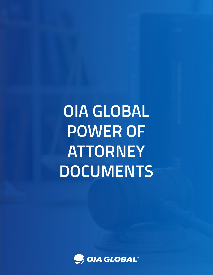**OIA GLOBAL POWER OF ATTORNEY DOCUMENTS**

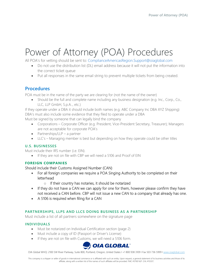# Power of Attorney (POA) Procedures

All POA's for vetting should be sent to: ComplianceAmericasRegion.Support@oiaglobal.com

- Do not use the distribution list (DL) email address because it will not put the information into the correct ticket queue
- Put all responses in the same email string to prevent multiple tickets from being created.

## **Procedures**

POA must be in the name of the party we are clearing for (not the name of the owner)

• Should be the full and complete name including any business designation (e.g. Inc., Corp., Co., LLC, LLP GmbH, S.p.A.., etc.)

If they operate under a DBA it should include both names (e.g. ABC Company Inc DBA XYZ Shipping) DBA's must also include some evidence that they filed to operate under a DBA Must be signed by someone that can legally bind the company

- Corporations Corporate Officer (e.g. President, Vice-President Secretary, Treasurer); Managers are not acceptable for corporate POA's
- Partnerships/LLP a partner
- LLC's Managing member is best but depending on how they operate could be other titles

#### **U.S. BUSINESSES**

Must include their IRS number (i.e. EIN).

• If they are not on file with CBP we will need a 5106 and Proof of EIN

#### **FOREIGN COMPANIES**

#### Should include their Customs Assigned Number (CAN)

- For all foreign companies we require a POA Singing Authority to be completed on their letterhead
	- o If their country has notaries, it should be notarized
- If they do not have a CAN we can apply for one for them, however please confirm they have not received a CAN before. CBP will not issue a new CAN to a company that already has one.
- A 5106 is required when filing for a CAN

#### **PARTNERSHIPS, LLPS AND LLCS DOING BUSINESS AS A PARTNERSHIP**

Must include a list of all partners somewhere on the signature page

#### **INDIVIDUALS**

- Must be notarized on Individual Certification section (page 2)
- Must include a copy of ID (Passport or Driver's License)
- If they are not on file with Customs, we will need a 5106 form.



OIA Global WHQ: 2100 SW River Parkway, Suite 800, Portland, Oregon, United States I +1 800 938 3109 I Fax 503 736 5999 I www.oiaglobal.com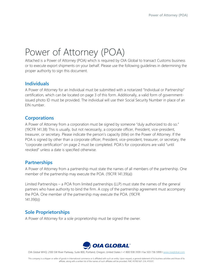# Power of Attorney (POA)

Attached is a Power of Attorney (POA) which is required by OIA Global to transact Customs business or to execute export shipments on your behalf. Please use the following guidelines in determining the proper authority to sign this document.

## **Individuals**

A Power of Attorney for an Individual must be submitted with a notarized "Individual or Partnership" certification, which can be located on page 3 of this form. Additionally, a valid form of governmentissued photo ID must be provided. The individual will use their Social Security Number in place of an EIN number.

## **Corporations**

A Power of Attorney from a corporation must be signed by someone "duly authorized to do so." (19CFR 141.38) This is usually, but not necessarily, a corporate officer, President, vice-president, treasurer, or secretary. Please indicate the person's capacity (title) on the Power of Attorney. If the POA is signed by other than a corporate officer, President, vice-president, treasurer, or secretary, the "corporate certification" on page 2 must be completed. POA's for corporations are valid "until revoked" unless a date is specified otherwise.

## **Partnerships**

A Power of Attorney from a partnership must state the names of all members of the partnership. One member of the partnership may execute the POA. (19CFR 141.39(a))

Limited Partnerships – a POA from limited partnerships (LLP) must state the names of the general partners who have authority to bind the firm. A copy of the partnership agreement must accompany the POA. One member of the partnership may execute the POA. (19CFR 141.39(b))

# **Sole Proprietorships**

A Power of Attorney for a sole proprietorship must be signed the owner.

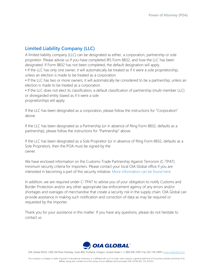# **Limited Liability Company (LLC)**

A limited liability company (LLC) can be designated as either, a corporation, partnership or sole proprietor. Please advise us if you have completed IRS Form 8832, and how the LLC has been designated. If Form 8832 has not been completed, the default designation will apply.

• If the LLC has only one owner, it will automatically be treated as if it were a sole proprietorship, unless an election is made to be treated as a corporation.

• If the LLC has two or more owners, it will automatically be considered to be a partnership, unless an election is made to be treated as a corporation.

• If the LLC does not elect its classification, a default classification of partnership (multi-member LLC) or disregarded entity (taxed as if it were a sole

proprietorship) will apply.

If the LLC has been designated as a corporation, please follow the instructions for "Corporation" above.

If the LLC has been designated as a Partnership (or in absence of filing Form 8832, defaults as a partnership), please follow the instructions for "Partnership" above.

If the LLC has been designated as a Sole Proprietor (or in absence of filing Form 8832, defaults as a Sole Proprietor), then the POA must be signed by the owner.

We have enclosed information on the Customs-Trade Partnership Against Terrorism (C-TPAT) minimum security criteria for importers. Please contact your local OIA Global office if you are interested in becoming a part of this security initiative. More information can be found here.

In addition, we are required under C-TPAT to advise you of your obligation to notify Customs and Border Protection and/or any other appropriate law enforcement agency of any errors and/or shortages and overages of merchandise that create a security risk in the supply chain. OIA Global can provide assistance in making such notification and correction of data as may be required or requested by the importer.

Thank you for your assistance in this matter. If you have any questions, please do not hesitate to contact us.

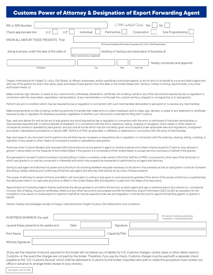# Customs Power of Attorney & Designation of Export Forwarding Agent

| IRS or SSN Number:                            | C-TPAT certified? Check: Yes<br>No.                                                            |  |
|-----------------------------------------------|------------------------------------------------------------------------------------------------|--|
| LLC<br>∟LP<br>Check appropriate box:          | Partnership<br>Sole Proprietorship<br>Individual<br>Corporation                                |  |
| KNOW ALL MEN BY THESE PRESENTS: That,         |                                                                                                |  |
|                                               | (Full name of Individual, Partnership, Corporation, LLC, LLP, or Sole Proprietorship)          |  |
| doing business under the laws of the state of | residing or having a principal place of business at<br>(State in which business is registered) |  |
|                                               | hereby consitutes and appoints:                                                                |  |
| Full address                                  | Zip Code<br>City<br>State                                                                      |  |

Oregon International Air Freight Co. d.b.a. OIA Global, its officers, employees, and/or specifically authorized agents, to act for and on its behalf as a true and lawful agent and attorney of the grantor for and in the name, place and stead of said grantor, from this date, in the United States (the "territory") either in writing, electronically, or by other authorized means, to:

Make, endorse, sign, declare, or swear to any customs entry, withdrawal, declaration, certificate, bill of lading, carnet or any other documents required by law or regulation in connection with the importation, exportation, transportation, of any merchandise in or through the customs territory, shipped or consigned by or to said grantor;

Perform any act or condition which may be required by law or regulation in connection with such merchandise deliverable to said grant or; to receive any merchandise;

Make endorsements on bills of lading conferring authority to transfer title; make entry or collect drawback; and to make, sign, declare, or swear to any statement or certificate required by law or regulation for drawback purposes, regardless of whether such document is intended for filing with Customs;

Sign, seal, and deliver for and as the act of said grantor any bond required by law or regulation in connection with the entry or withdrawal of imported merchandise or merchandise exported with or without benefit of drawback, or in connection with the entry, clearance, lading, unlading or navigation of any vessel or other means of conveyance owned or operated by said grantor, and any and all bonds which may be voluntarily given and accepted under applicable laws and regulations, consignee's and owner's declarations provided for in section 485, Tariff Act of 1930, as amended, or affidavits or statements in connection with the entry of merchandise.

Sign and swear to any document and to perform any act that may be necessary or required by law or regulation in connection with the entering, clearing, lading, unlading, or operation of any vessel or other means of conveyance owned or operated by said grantor;

Authorize other Customs Brokers duly licensed within the territory to act as grantor's agent; to receive endorse and collect checks issued for Customs duty refunds in grantor's name drawn on the Treasurer of the United States; if the grantor is a nonresident of the United States, to accept service of process on behalf of the grantor;

And generally to transact Customs business, including filing of claims or protests under section 514 of the Tariff Act of 1930, or pursuant to other laws of the territories, in which said grantor is or may be concerned or interested and which may properly be transacted or performed by an agent and attorney;

Giving to said agent and attorney full power and authority to do anything whatever requisite necessary to be done in the premises as fully as said grantor could do if present and acting, hereby ratifying and confirming all that the said agent and attorney shall lawfully do by virtue of these presents'

This power of attorney to remain full force and effect until revocation in writing is duly given to and received by grantee (if the donor of this power of attorney is a partnership, the said power shall in no case have any force or effect in the United States after the expiration 2 years from the dates of its execution);

Appointment as Forwarding Agent: Grantor authorizes the above grantee to act within the territory as lawful agent and sign or endorse export documents (i.e., commercial invoices, bills of lading, insurance certificates, drafts and any other document) and prepare and file the Electronic Export Information (EEI) via AES as necessary for the completion of an export or routed export on grantor's behalf as may be required under law and regulation in the territory and to appoint forwarding agents on grantor's behalf;

Grantor hereby acknowledges receipt of Oregon International Air Freight Co.d.b.a. OIA Global terms and conditions.

| IN WITNESS WHEREOF, the said                    |                 | (Full name of individual, partnership,<br>corporation or sole proprietorship) |
|-------------------------------------------------|-----------------|-------------------------------------------------------------------------------|
| caused these presents to be sealed and<br>Date: | Signature       |                                                                               |
| Print Name:                                     | Capacity/Title: |                                                                               |
| Witness Signature:                              |                 |                                                                               |

(If you are the importer of record, payment to the broker will not relieve you of liability for U.S. Customs charges—duties, taxes or other debts owed to Customs—in the event the charges are not paid by the broker. Therefore, if you pay by check, Customs charges must be paid with a separate check payable to the "U.S. Customs Service" which shall be delivered to Customs by the broker. Importers who wish to utilize this procedure must contact our office in advance to arrange timely recept of duty checks.)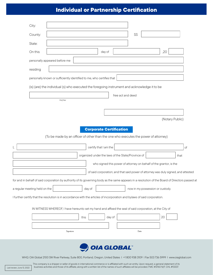# Individual or Partnership Certification

|                               | City:    |                                                                                                                                                  |        |                                                                    |                   |      |                                  |                 |                                                                                    |
|-------------------------------|----------|--------------------------------------------------------------------------------------------------------------------------------------------------|--------|--------------------------------------------------------------------|-------------------|------|----------------------------------|-----------------|------------------------------------------------------------------------------------|
|                               | County:  |                                                                                                                                                  |        |                                                                    |                   | SS   |                                  |                 |                                                                                    |
|                               | State:   |                                                                                                                                                  |        |                                                                    |                   |      |                                  |                 |                                                                                    |
|                               | On this  |                                                                                                                                                  |        | day of                                                             |                   |      |                                  | ,20             |                                                                                    |
|                               |          | personally appeared before me                                                                                                                    |        |                                                                    |                   |      |                                  |                 |                                                                                    |
|                               | residing |                                                                                                                                                  |        |                                                                    |                   |      |                                  |                 |                                                                                    |
|                               |          | personally known or sufficiently identified to me, who certifies that                                                                            |        |                                                                    |                   |      |                                  |                 |                                                                                    |
|                               |          | (is) (are) the individual (s) who executed the foregoing instrument and acknowledge it to be                                                     |        |                                                                    |                   |      |                                  |                 |                                                                                    |
|                               |          |                                                                                                                                                  |        |                                                                    | free act and deed |      |                                  |                 |                                                                                    |
|                               |          | His/Her                                                                                                                                          |        |                                                                    |                   |      |                                  |                 |                                                                                    |
|                               |          |                                                                                                                                                  |        |                                                                    |                   |      |                                  |                 |                                                                                    |
|                               |          |                                                                                                                                                  |        |                                                                    |                   |      |                                  | (Notary Public) |                                                                                    |
|                               |          | (To be made by an officer of other than the one who executes the power of attorney)                                                              |        | <b>Corporate Certification</b>                                     |                   |      |                                  |                 |                                                                                    |
|                               |          |                                                                                                                                                  |        | certify that I am the                                              |                   |      |                                  |                 | Оf                                                                                 |
|                               |          |                                                                                                                                                  |        | organized under the laws of the State/Province of                  |                   |      |                                  |                 | that                                                                               |
|                               |          |                                                                                                                                                  |        | who signed this power of attorney on behalf of the grantor, is the |                   |      |                                  |                 |                                                                                    |
|                               |          |                                                                                                                                                  |        |                                                                    |                   |      |                                  |                 | of said corporation; and that said power of attorney was duly signed, and attested |
|                               |          | for and in behalf of said corporation by authority of its governing body as the same appears in a resolution of the Board of Directors passed at |        |                                                                    |                   |      |                                  |                 |                                                                                    |
| a regular meeting held on the |          |                                                                                                                                                  | day of |                                                                    |                   |      | now in my possession or custody. |                 |                                                                                    |
|                               |          | I further certify that the resolution is in accordance with the articles of incorporation and bylaws of said corporation.                        |        |                                                                    |                   |      |                                  |                 |                                                                                    |
|                               |          | IN WITNESS WHEREOF, I have hereunto set my hand and affixed the seal of said corporation, at the City of                                         |        |                                                                    |                   |      |                                  |                 |                                                                                    |
|                               |          |                                                                                                                                                  | this   | day of                                                             |                   |      |                                  | 20              |                                                                                    |
|                               |          |                                                                                                                                                  |        |                                                                    |                   |      |                                  |                 |                                                                                    |
|                               |          | Signature                                                                                                                                        |        |                                                                    |                   | Date |                                  |                 |                                                                                    |
|                               |          |                                                                                                                                                  |        |                                                                    |                   |      |                                  |                 |                                                                                    |



WHQ: OIA Global 2100 SW River Parkway, Suite 800, Portland, Oregon, United States I +1 800 938 3109 I Fax 503 736 5999 I www.oiaglobal.com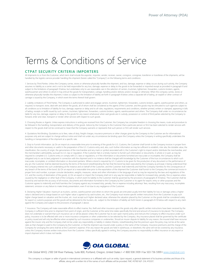# Terms & Conditions of Service

#### **CTPAT SECURITY CRITERIA IMPORTERS**

All shipments to or from the Customer, which term shall include the exporter, importer, sender, receiver, owner, consignor, consignee, transferrer or transferee of the shipments, will be handled by the logistics service provider handling this shipment (herein called the "Company") on the following terms and conditions:

1. Services by Third Parties. Unless the Company carries, stores or otherwise physically handles the shipment, and loss, damage, expense or delay occurs during such activity, the Company assumes no liability as a carrier and is not to be held responsible for any loss, damage, expense or delay to the goods to be forwarded or imported except as provided in paragraph 8 and<br>subject to the limitations of paragr warehousemen and others to whom it may entrust the goods for transportation, cartage, handling and/or delivery and/or storage or otherwise. When the company carries, stores or otherwise physically handles the shipment, it does so subject to the limitation of liability set forth in paragraph 8 below unless a separate bill of lading, air waybill or other contract of carriage is issued by the Company, in which event the terms thereof shall govern.

2. Liability Limitations of Third Parties. The Company is authorized to select and engage carriers, truckmen, lightermen, forwarders, customs brokers, agents, warehousemen and others, as required, to transport, store, deal with and deliver the goods, all of whom shall be considered as the agents of the Customer, and the goods may be entrusted to such agencies subject to all conditions as to limitation of liability for loss, damage, expense or delay and to all rules, regulations, requirements and conditions, whether printed, written or stamped, appearing in bills of lading, receipts or tariffs issued by such carriers, truckmen, lightermen, forwarders, customs brokers, agents, warehousemen and others. The Company shall under no circumstances be liable for any loss, damage, expense or delay to the goods for any reason whatsoever when said goods are in custody, possession or control of third parties selected by the Company to forward, enter and clear, transport or render other services with respect to such goods.

3. Choosing Routes or Agents. Unless express instructions in writing are received from the Customer, the Company has complete freedom in choosing the means, route and procedure to be followed in the handling, transportation and delivery of the goods. Advice by the Company to the Customer that a particular person or firm has been selected to render services with respect to the goods shall not be construed to mean that the Company warrants or represents that such person or firm will render such services.

4. Quotations Not Binding. Quotations as to fees, rates of duty, freight charges, insurance premiums or other charges given by the Company to the Customer are for informational purposes only and are subject to change without notice and shall not under any circumstances be binding upon the Company unless the Company in writing specifically undertakes the handling or transportation of the shipment at a specific rate.

5. Duty to Furnish Information. (a) On an import at a reasonable time prior to entering of the goods for U.S. Customs, the Customer shall furnish to the Company invoices in proper form and other documents necessary or useful in the preparation of the U.S. Customs entry and, also, such further information as may be sufficient to establish, inter alia, the dutiable value, the classification, the country of origin, the genuineness of the merchandise and any mark or symbol associated with it, the Customer's right to import and/or distribute the merchandise, and the merchandise's admissibility, pursuant to U.S. law or regulation. If the Customer fails in a timely manner to furnish such information or documents, in whole or in part, as may be required to complete U.S. Customs entry or comply with U.S. laws or regulations, or if the information or documents furnished are inaccurate or incomplete, the Company shall be obligated only to use its best judgment in connection with the shipment and in no instance shall be charged with knowledge by the Customer of the true circumstances to which such inaccurate, incomplete, or omitted information or document pertains. Where a bond is required by U.S. Customs to be given for the production of any document or the performance of any act, the Customer shall be deemed bound by the terms of the bond notwithstanding the fact that the bond has been executed by the Company as principal, it being understood that the Company entered into such undertaking at the instance and on behalf of the Customer, and the Customer shall indemnify and hold the Company harmless for the consequences of any breach of the terms of the bond. (b) On an export at a reasonable time prior to the exportation of the shipment the Customer shall furnish to the Company the commercial invoice in proper form and number, a proper consular declaration, weights, measures, values and other information in the language of and as may be required by the laws and regulations of the U.S. and the country of destination of the goods. (c) On an export or import the Company shall not in any way be responsible or liable for increased duty, penalty, fine or expense unless caused by the negligence or other fault of the Company, in which event its liability to the Customer shall be governed by the provisions of paragraphs 8-10 below. The Customer shall be bound by and warrant the accuracy of all invoices, documents and information furnished to the Company by the Customer or its agent for export, entry or other purposes and the Customer agrees to indemnify and hold harmless the Company against any increased duty, penalty, fine or expense including attorneys' fees, resulting from any inaccuracy, incomplete statement, omission or any failure to make timely presentation, even if not due to any negligence of the Customer.

6. Declaring Higher Valuation. Inasmuch as truckers, carriers, warehousemen and others to whom the goods are entrusted usually limit their liability for loss or damage unless a higher value is declared and a charge based on such higher value is agreed to by said truckers, etc., the Company must receive specific written instructions from the Customers to pay such higher charge based on valuation and the trucker, etc. must accept such higher declared value; otherwise the valuation placed by the Customer on the goods shall be considered solely for export or customs purposes and the goods will be delivered to the truckers, etc. subject to the limitation of liability set forth herein in paragraphs 8-10 below with respect to any claim against the Company and subject to the provisions of paragraph 2 above.

7. Insurance. The Company will make reasonable efforts to effect marine, fire, theft and other insurance upon the goods only after specific written instructions have been received by the Company in sufficient time prior to shipment from point of origin, and the Customer at the same time states specifically the kind and amount of insurance to be placed. The Company does not undertake or warrant that such insurance can or will be placed. Unless the Customer has its own open marine policy and instructs the Company to effect insurance under such policy, insurance is to be effected with one or more insurance companies or other underwriters to be selected by the Company. Any insurance placed shall be governed by the certificate or policy issued and will only be effective when accepted by such insurance companies or underwrites. Should an insurer dispute its liability for any reason, the insured shall have recourse against the insurer only and the Company shall not be under any responsibility or liability in relation thereto, notwithstanding that the premium upon the policy may not be at the same rates as that charged or paid to the Company by the Customer, or that the shipment was insured under a policy in the name of the Company. Insurance premiums and the charge of the Company for arranging the same shall be at the Customer's expense. If for any reason the goods are held in warehouse, or elsewhere, the same will not be covered by any insurance, unless the Company receives written instructions from the Customer. Unless specifically agreed in writing, the Company assumes no responsibility to effect insurance on any export or import shipment which it does not handle.



OIA Global WHQ: 2100 SW River Parkway, Suite 800, Portland, Oregon, United States I +1 800 938 3109 I Fax 503 736 5999 I www.oiaglobal.com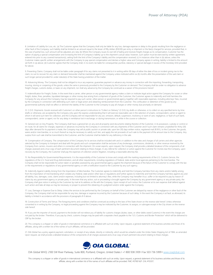8. Limitation of Liability for Loss, etc. (a) The Customer agrees that the Company shall only be liable for any loss, damage expense or delay to the goods resulting from the negligence or other fault of the Company; such liability shall be limited to an amount equal to the lesser of fifty dollars (\$50.00) per entry or shipment or the fee(s) charged for services, provided that, in the case of partial loss, such amount will be adjusted, pro rata; (b) Where the Company issues its own bill of lading and receives freight charges as its compensation, Customer has the option of paying a special compensation and increasing the limit of Company's liability up to the shipment's actual value; however, such option must be exercised by written agreement, entered into prior to any covered transaction(s), setting forth the limit of the Company's liability and the compensation received; (c) In instances other than in (b) above, unless the Customer makes specific written arrangements with the Company to pay special compensation and declare a higher value and Company agrees in writing, liability is limited to the amount set forth in (a) above; (d) Customer agrees that the Company shall, in no event, be liable for consequential, punitive, statutory or special damages in excess of the monetary limit provided for above.

9. Presenting Claims. Company shall not be liable under paragraph 8 for any claims not presented to it in writing within 90 days of either the date of loss or incident giving rise to the claim; no suit to recover for any claim or demand hereunder shall be maintained against the Company unless instituted within six (6) months after the presentation of the said claim or such longer period provided for under statute(s) of the State having jurisdiction of the matter

10. Advancing Money. The Company shall not be obliged to incur any expense, guarantee payment or advance any money in connection with the importing, forwarding, transporting, insuring, storing or coopering of the goods, unless the same is previously provided to the Company by the Customer on demand. The Company shall be under no obligation to advance freight charges, customs duties, or taxes on any shipment, nor shall any advance by the Company be construed as a waiver of the provisions hereof.

11. Indemnification for Freight, Duties. In the event that a carrier, other person or any governmental agency makes a claim or institutes legal action against the Company for ocean or other freight, duties, fines, penalties, liquidated damages or other money due arising from a shipment of goods of the Customer, the Customer agrees to indemnify and hold harmless the Company for any amount the Company may be required to pay such carrier, other person or governmental agency together with reasonable expenses, including attorneys' fees, incurred by the Company in connection with defending such claim or legal action and obtaining reimbursement from the Customer. The confiscation or detention of the goods by any governmental authority shall not affect or diminish the liability of the Customer to the Company to pay all charges or other money due promptly on demand.

12. C.O.D. Shipments. Goods received with Customer's or other person's instructions to "Collect on Delivery" (C.O.D.) by drafts or otherwise, or to collect on any specified terms by time drafts or otherwise, are accepted by the Company only upon the express understanding that it will exercise reasonable care in the selection of a bank, correspondent, carrier or agent to whom it will send such item for collection, and the Company will not responsible for any act, omission, default, suspension, insolvency or want of care, negligence, or fault of such bank, correspondent, carrier or agent, nor for any delay in remittance lost in exchange, or during transmission, or while in the course or collection.

13. General Lien on Any Property. The Company shall have a general lien on any and all property (and documents relating thereto) of the Customer, in its possession, custody or control or en route, for all claims for charges, expenses or advances incurred by the Company in connection with any shipments of the Customer and if such claim remains unsatisfied for thirty (30)<br>days after demand for its payment is wares and/or merchandise, or so much thereof as may be necessary to satisfy such lien, and apply the net proceeds of such sale to the payment of the amount due to the Company. Any surplus from such sale shall be transmitted to the Customer, and the Customer shall be liable for any deficiency in the sale.

14. Compensation of Company. The compensation of the Company for its services shall be included with and is in addition to the rates and charges of all carriers and other agencies selected by the Company to transport and deal with the goods and such compensation shall be exclusive of any brokerage, commissions, dividends, or other revenue received by the Company from carriers, insurers and others in connection with the shipment. On ocean exports, upon request, the Company shall provide a detailed breakout of the components of all charges assessed and a true copy of each pertinent document relating to these charges. In any referral for collection or action against the Customer for monies due the Company, upon recovery by the Company, the Customer shall pay the expenses of collection and/or litigation, including a reasonable attorney fee.

15. No Responsibility for Governmental Requirements. It is the responsibility of the Customer to know and comply with the marking requirements of the U.S. Customs Service, the regulations of the U.S. Food and Drug Administration, and all other requirements, including regulations of Federal, state and/or local agencies pertaining to the merchandise. The Company shall not be responsible for action taken or penalties assessed by any governmental agency against the shipment because of the failure of the Customer to comply with the law or the requirements or regulations of any governmental agency or with a notification issued to the Customer by any such agency.

16. Indemnify Against Liability Arising from the Importation of Merchandise. The Customer agrees to indemnify and hold the Company harmless from any claims and/or liability arising from the importation of merchandising which violates any Federal, state and/or other laws or regulations and further agrees to indemnify and hold the Company harmless against any and all liability, loss, damages, costs, claims and/or expenses, including but not limited to attorney's fees, while the Company may hereafter incur, suffer or be required to pay by reason of claims by any government agency or private party. In the even that any action, suit or proceeding is brought against the Company by any government agency or any private party, the Company shall give notice in writing to the Customer by mail at its address on file with the Company. Upon receipt of such notice, the Customer at its own expense shall defend against such action and take all steps as may be necessary or proper to prevent the obtaining of a judgment and/or order against the Company.

17. Loss, Damage or Expense Due to Delay. Unless the services to be performed by the Company on behalf of the Customer are delayed by reason of the negligence or other fault of the Company, the Company shall not be responsible for any loss, damage or expense incurred by the Customer because of such delay. In the event the Company is at fault, as aforesaid, its liability is limited in accordance with the provisions of paragraphs 8-9 above.

18. Construction of Terms and Venue. The foregoing terms and conditions shall be construed according to the laws of the State shown on the reverse side hereof. Unless otherwise consented to in writing by the Company, no legal proceeding against the Company may be instituted by the Customer, its assigns, or subrogee except in the City shown on the reverse side hereof.

19. If you are the importer of record, payment to the broker will not relieve you of liability for customs charges (duties, taxes, or other debts owed Customs) in the event the charges are not paid by the broker. Therefore, if you pay by check, customs charges may be paid with a separate check payable to the "U.S. Customs and Border Protection" which will be delivered to CBP by the broker.

20. This company is a shipper or seller of goods in international commerce or is affiliated with such an entity. Upon request, a general statement of its business activities and those of its affiliates, along with a written list of the names of such affiliates, will be provided.

21. OIA Global has a policy against payment, solicitation, or receipt of any rebate, directly or indirectly, which would be unlawful under the Unites States Shipping Act of 1984, as amended. Upon request, we shall provide a detailed breakout of the components of all charges assessed and a true copy of each pertinent document relating to these charges.



OIA Global WHQ: 2100 SW River Parkway, Suite 800, Portland, Oregon, United States I +1 800 938 3109 I Fax 503 736 5999 I www.oiaglobal.com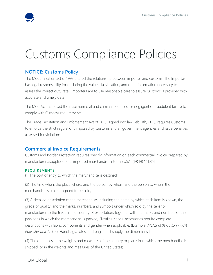

# Customs Compliance Policies

# **NOTICE: Customs Policy**

The Modernization act of 1993 altered the relationship between importer and customs. The Importer has legal responsibility for declaring the value, classification, and other information necessary to assess the correct duty rate. Importers are to use reasonable care to assure Customs is provided with accurate and timely data.

The Mod Act increased the maximum civil and criminal penalties for negligent or fraudulent failure to comply with Customs requirements.

The Trade Facilitation and Enforcement Act of 2015, signed into law Feb 11th, 2016, requires Customs to enforce the strict regulations imposed by Customs and all government agencies and issue penalties assessed for violations.

# **Commercial Invoice Requirements**

Customs and Border Protection requires specific information on each commercial invoice prepared by manufacturers/suppliers of all imported merchandise into the USA. [19CFR 141.86]

#### **REQUIREMENTS**

(1) The port of entry to which the merchandise is destined;

(2) The time when, the place where, and the person by whom and the person to whom the merchandise is sold or agreed to be sold;

(3) A detailed description of the merchandise, including the name by which each item is known, the grade or quality, and the marks, numbers, and symbols under which sold by the seller or manufacturer to the trade in the country of exportation, together with the marks and numbers of the packages in which the merchandise is packed; [Textiles, shoes, accessories require complete descriptions with fabric components and gender when applicable. (Example: *MENS 60% Cotton / 40% Polyester Knit Jacket*). Handbags, totes, and bags must supply the dimensions.]

(4) The quantities in the weights and measures of the country or place from which the merchandise is shipped, or in the weights and measures of the United States;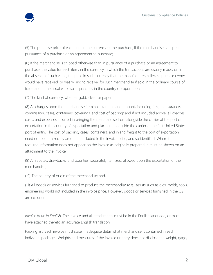

(5) The purchase price of each item in the currency of the purchase, if the merchandise is shipped in pursuance of a purchase or an agreement to purchase;

(6) If the merchandise is shipped otherwise than in pursuance of a purchase or an agreement to purchase, the value for each item, in the currency in which the transactions are usually made, or, in the absence of such value, the price in such currency that the manufacturer, seller, shipper, or owner would have received, or was willing to receive, for such merchandise if sold in the ordinary course of trade and in the usual wholesale quantities in the country of exportation;

(7) The kind of currency, whether gold, silver, or paper;

(8) All charges upon the merchandise itemized by name and amount, including freight, insurance, commission, cases, containers, coverings, and cost of packing; and if not included above, all charges, costs, and expenses incurred in bringing the merchandise from alongside the carrier at the port of exportation in the country of exportation and placing it alongside the carrier at the first United States port of entry. The cost of packing, cases, containers, and inland freight to the port of exportation need not be itemized by amount if included in the invoice price, and so identified. Where the required information does not appear on the invoice as originally prepared, it must be shown on an attachment to the invoice;

(9) All rebates, drawbacks, and bounties, separately itemized, allowed upon the exportation of the merchandise;

(10) The country of origin of the merchandise; and,

(11) All goods or services furnished to produce the merchandise (e.g., assists such as dies, molds, tools, engineering work) not included in the invoice price. However, goods or services furnished in the US are excluded.

*Invoice to be in English.* The invoice and all attachments must be in the English language, or must have attached thereto an accurate English translation

Packing list. Each invoice must state in adequate detail what merchandise is contained in each individual package. Weights and measures. If the invoice or entry does not disclose the weight, gage,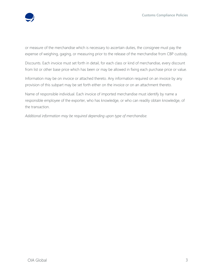

or measure of the merchandise which is necessary to ascertain duties, the consignee must pay the expense of weighing, gaging, or measuring prior to the release of the merchandise from CBP custody.

Discounts. Each invoice must set forth in detail, for each class or kind of merchandise, every discount from list or other base price which has been or may be allowed in fixing each purchase price or value.

Information may be on invoice or attached thereto. Any information required on an invoice by any provision of this subpart may be set forth either on the invoice or on an attachment thereto.

Name of responsible individual. Each invoice of imported merchandise must identify by name a responsible employee of the exporter, who has knowledge, or who can readily obtain knowledge, of the transaction.

*Additional information may be required depending upon type of merchandise.*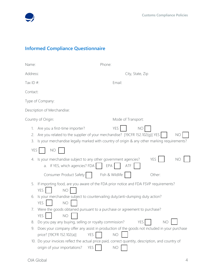

# **Informed Compliance Questionnaire**

| Name:                                                                                                                                        | Phone:                                                                                                                |
|----------------------------------------------------------------------------------------------------------------------------------------------|-----------------------------------------------------------------------------------------------------------------------|
| Address:                                                                                                                                     | City, State, Zip                                                                                                      |
| Tax ID $#$ :                                                                                                                                 | Email:                                                                                                                |
| Contact:                                                                                                                                     |                                                                                                                       |
| Type of Company:                                                                                                                             |                                                                                                                       |
| Description of Merchandise:                                                                                                                  |                                                                                                                       |
| Country of Origin:                                                                                                                           | Mode of Transport:                                                                                                    |
| Are you a first-time importer?<br>1.<br>Are you related to the supplier of your merchandise? [19CFR 152.102(g)] YES<br>2.<br>3.<br>YES<br>NO | YES<br>NO<br><b>NO</b><br>Is your merchandise legally marked with country of origin & any other marking requirements? |
| Is your merchandise subject to any other government agencies?<br>4.<br>If YES, which agencies? FDA<br>a.<br>Consumer Product Safety          | YES<br><b>NC</b><br>EPA<br>ATF<br>Fish & Wildlife<br>Other:                                                           |
| 5.<br>YES<br><b>NO</b>                                                                                                                       | If importing food, are you aware of the FDA prior notice and FDA FSVP requirements?                                   |
| Is your merchandise subject to countervailing duty/anti-dumping duty action?<br>6.<br>YES<br><b>NO</b>                                       |                                                                                                                       |
| Were the goods obtained pursuant to a purchase or agreement to purchase?<br>7.<br>YES<br><b>NO</b>                                           |                                                                                                                       |
| Do you pay any buying, selling or royalty commission?<br>8.                                                                                  | YES<br>NO                                                                                                             |
| 9.<br>price? [19CFR 152.102(a)]<br>YES                                                                                                       | Does your company offer any assist in production of the goods not included in your purchase<br>NO                     |
| origin of your importations?<br>YES                                                                                                          | 10. Do your invoices reflect the actual price paid, correct quantity, description, and country of<br>NO               |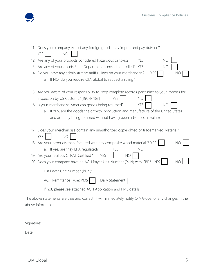



| 11. Does your company export any foreign goods they import and pay duty on?<br>YES <sup>1</sup><br><b>NO</b> |
|--------------------------------------------------------------------------------------------------------------|
| YES<br>12. Are any of your products considered hazardous or toxic?<br>NO                                     |
| NO                                                                                                           |
| 13. Are any of your goods State Department licensed controlled? YES                                          |
| 14. Do you have any administrative tariff rulings on your merchandise?<br>YES<br>NO                          |
| If NO, do you require OIA Global to request a ruling?<br>a.                                                  |
| 15. Are you aware of your responsibility to keep complete records pertaining to your imports for             |
| inspection by US Customs? [19CFR 163]<br><b>YES</b><br>NO                                                    |
| YES<br>16. Is your merchandise American goods being returned?<br>NO.                                         |
|                                                                                                              |
| If YES, are the goods the growth, production and manufacture of the United States<br>a.                      |
| and are they being returned without having been advanced in value?                                           |
| 17. Does your merchandise contain any unauthorized copyrighted or trademarked Material?                      |
| YES<br>NO                                                                                                    |
| 18. Are your products manufactured with any composite wood materials? YES                                    |
|                                                                                                              |
| a. If yes, are they EPA regulated?<br>YES<br>NO                                                              |
| 19. Are your facilities CTPAT Certified?<br>YES<br>NO                                                        |
| 20. Does your company have an ACH Payer Unit Number (PUN) with CBP? YES                                      |
| List Payer Unit Number (PUN):                                                                                |
| ACH Remittance Type: PMS<br>Daily Statement                                                                  |
| If not, please see attached ACH Application and PMS details.                                                 |

The above statements are true and correct. I will immediately notify OIA Global of any changes in the above information.

Signature:

Date: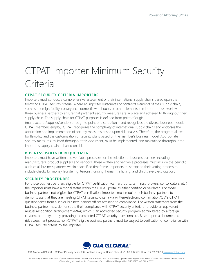# CTPAT Importer Minimum Security Criteria

#### **CTPAT SECURITY CRITERIA IMPORTERS**

Importers must conduct a comprehensive assessment of their international supply chains based upon the following CTPAT security criteria. Where an importer outsources or contracts elements of their supply chain, such as a foreign facility, conveyance, domestic warehouse, or other elements, the importer must work with these business partners to ensure that pertinent security measures are in place and adhered to throughout their supply chain. The supply chain for CTPAT purposes is defined from point of origin (manufacturer/supplier/vendor) through to point of distribution – and recognizes the diverse business models CTPAT members employ. CTPAT recognizes the complexity of international supply chains and endorses the application and implementation of security measures based upon risk analysis. Therefore, the program allows for flexibility and the customization of security plans based on the member's business model. Appropriate security measures, as listed throughout this document, must be implemented, and maintained throughout the

# **BUSINESS PARTNER REQUIREMENT**

importer's supply chains - based on risk.

Importers must have written and verifiable processes for the selection of business partners including manufacturers, product suppliers and vendors. These written and verifiable processes must include the periodic audit of all business partners within a specified timeframe. Importers must expand their vetting process to include checks for money laundering, terrorist funding, human trafficking, and child slavery exploitation.

#### **SECURITY PROCEDURES**

For those business partners eligible for CTPAT certification (carriers, ports, terminals, brokers, consolidators, etc.) the importer must have a model status within the CTPAT portal as either certified or validated. For those business partners not eligible for CTPAT certification, importers must require their business partners to demonstrate that they are meeting CTPAT security criteria via written/electronic confirmation/OIA's CTPAT questionnaires from a senior business partner officer attesting to compliance. The written statement from the business partner must demonstrate their compliance with CTPAT security criteria or provide an equivalent mutual recognition arrangement (MRA) which is an accredited security program administered by a foreign customs authority; or, by providing a completed CTPAT security questionnaire. Based upon a documented risk assessment process, non-CTPAT eligible business partners must be subject to verification of compliance with CTPAT security criteria by the importer.

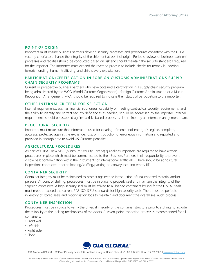#### **POINT OF ORIGIN**

Importers must ensure business partners develop security processes and procedures consistent with the CTPAT security criteria to enhance the integrity of the shipment at point of origin. Periodic reviews of business partners' processes and facilities should be conducted based on risk and should maintain the security standards required for the importer. The Importers must expand their vetting process to include checks for money laundering, terrorist funding, human trafficking, and child slavery exploitation.

#### **PARTICIPATION/CERTIFICATION IN FOREIGN CUSTOMS ADMINISTRATIONS SUPPLY CHAIN SECURITY PROGRAMS**

Current or prospective business partners who have obtained a certification in a supply chain security program being administered by the WCO (World Customs Organization) - foreign Customs Administration or a Mutual Recognition Arrangement (MRA) should be required to indicate their status of participation to the importer.

#### **OTHER INTERNAL CRITERIA FOR SELECTION**

Internal requirements, such as financial soundness, capability of meeting contractual security requirements, and the ability to identify and correct security deficiencies as needed, should be addressed by the importer. Internal requirements should be assessed against a risk- based process as determined by an internal management team.

#### **PROCEDURAL SECURITY**

Importers must make sure that information used for clearing of merchandise/cargo is legible, complete, accurate, protected against the exchange, loss, or introduction of erroneous information and reported and provided in enough time to avoid US Customs penalties.

#### **AGRICULTURAL PROCEDURES**

As part of CTPAT new MSC (Minimum Security Criteria) guidelines Importers are required to have written procedures in place which must be communicated to their Business Partners, their responsibility to prevent visible pest contamination within the Instruments of International Traffic (IIT). There should be agricultural inspections conducted prior to loading/stuffing/packing on conveyance and empty IIT.

#### **CONTAINER SECURITY**

Container integrity must be maintained to protect against the introduction of unauthorized material and/or persons. At point of stuffing, procedures must be in place to properly seal and maintain the integrity of the shipping containers. A high security seal must be affixed to all loaded containers bound for the U.S. All seals must meet or exceed the current PAS ISO 17712 standards for high security seals. There must be periodic inventory of stored seals and reconciliation logs to maintain and document the overall seal audit process.

#### **CONTAINER INSPECTION**

Procedures must be in place to verify the physical integrity of the container structure prior to stuffing, to include the reliability of the locking mechanisms of the doors. A seven-point inspection process is recommended for all containers:

- Front wall
- Left side
- Right side
- Floor



OIA Global WHQ: 2100 SW River Parkway, Suite 800, Portland, Oregon, United States I +1 800 938 3109 I Fax 503 736 5999 I www.oiaglobal.com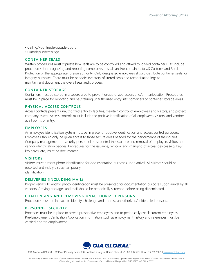- Ceiling/Roof Inside/outside doors
- Outside/Undercarrige

#### **CONTAINER SEALS**

Written procedures must stipulate how seals are to be controlled and affixed to loaded containers - to include procedures for recognizing and reporting compromised seals and/or containers to US Customs and Border Protection or the appropriate foreign authority. Only designated employees should distribute container seals for integrity purposes. There must be periodic inventory of stored seals and reconciliation logs to maintain and document the overall seal audit process.

#### **CONTAINER STORAGE**

Containers must be stored in a secure area to prevent unauthorized access and/or manipulation. Procedures must be in place for reporting and neutralizing unauthorized entry into containers or container storage areas.

#### **PHYSICAL ACCESS CONTROLS**

Access controls prevent unauthorized entry to facilities, maintain control of employees and visitors, and protect company assets. Access controls must include the positive identification of all employees, visitors, and vendors at all points of entry.

#### **EMPLOYEES**

An employee identification system must be in place for positive identification and access control purposes. Employees should only be given access to those secure areas needed for the performance of their duties. Company management or security personnel must control the issuance and removal of employee, visitor, and vendor identification badges. Procedures for the issuance, removal and changing of access devices (e.g. keys, key cards, etc.) must be documented.

#### **VISITORS**

Visitors must present photo identification for documentation purposes upon arrival. All visitors should be escorted and visibly display temporary identification.

#### **DELIVERIES (INCLUDING MAIL)**

Proper vendor ID and/or photo identification must be presented for documentation purposes upon arrival by all vendors. Arriving packages and mail should be periodically screened before being disseminated.

#### **CHALLENGING AND REMOVING UNAUTHORIZED PERSONS**

Procedures must be in place to identify, challenge and address unauthorized/unidentified persons.

#### **PERSONNEL SECURITY**

Processes must be in place to screen prospective employees and to periodically check current employees. Pre-Employment Verification Application information, such as employment history and references must be verified prior to employment.



OIA Global WHQ: 2100 SW River Parkway, Suite 800, Portland, Oregon, United States I +1 800 938 3109 I Fax 503 736 5999 I www.oiaglobal.com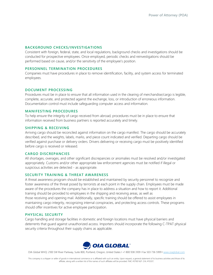#### **BACKGROUND CHECKS/INVESTIGATIONS**

Consistent with foreign, federal, state, and local regulations, background checks and investigations should be conducted for prospective employees. Once employed, periodic checks and reinvestigations should be performed based on cause, and/or the sensitivity of the employee's position.

#### **PERSONNEL TERMINATION PROCEDURES**

Companies must have procedures in place to remove identification, facility, and system access for terminated employees.

#### **DOCUMENT PROCESSING**

Procedures must be in place to ensure that all information used in the clearing of merchandise/cargo is legible, complete, accurate, and protected against the exchange, loss, or introduction of erroneous information. Documentation control must include safeguarding computer access and information.

#### **MANIFESTING PROCEDURES**

To help ensure the integrity of cargo received from abroad, procedures must be in place to ensure that information received from business partners is reported accurately and timely.

#### **SHIPPING & RECEIVING**

Arriving cargo should be reconciled against information on the cargo manifest. The cargo should be accurately described, and the weights, labels, marks, and piece count indicated and verified. Departing cargo should be verified against purchase or delivery orders. Drivers delivering or receiving cargo must be positively identified before cargo is received or released.

#### **CARGO DISCREPANCIES**

All shortages, overages, and other significant discrepancies or anomalies must be resolved and/or investigated appropriately. Customs and/or other appropriate law enforcement agencies must be notified if illegal or suspicious activities are detected - as appropriate.

#### **SECURITY TRAINING & THREAT AWARENESS**

A threat awareness program should be established and maintained by security personnel to recognize and foster awareness of the threat posed by terrorists at each point in the supply chain. Employees must be made aware of the procedures the company has in place to address a situation and how to report it. Additional training should be provided to employees in the shipping and receiving areas, as well as those receiving and opening mail. Additionally, specific training should be offered to assist employees in maintaining cargo integrity, recognizing internal conspiracies, and protecting access controls. These programs should offer incentives for active employee participation.

#### **PHYSICAL SECURITY**

Cargo handling and storage facilities in domestic and foreign locations must have physical barriers and deterrents that guard against unauthorized access. Importers should incorporate the following C-TPAT physical security criteria throughout their supply chains as applicable.



OIA Global WHQ: 2100 SW River Parkway, Suite 800, Portland, Oregon, United States I +1 800 938 3109 I Fax 503 736 5999 I www.oiaglobal.com